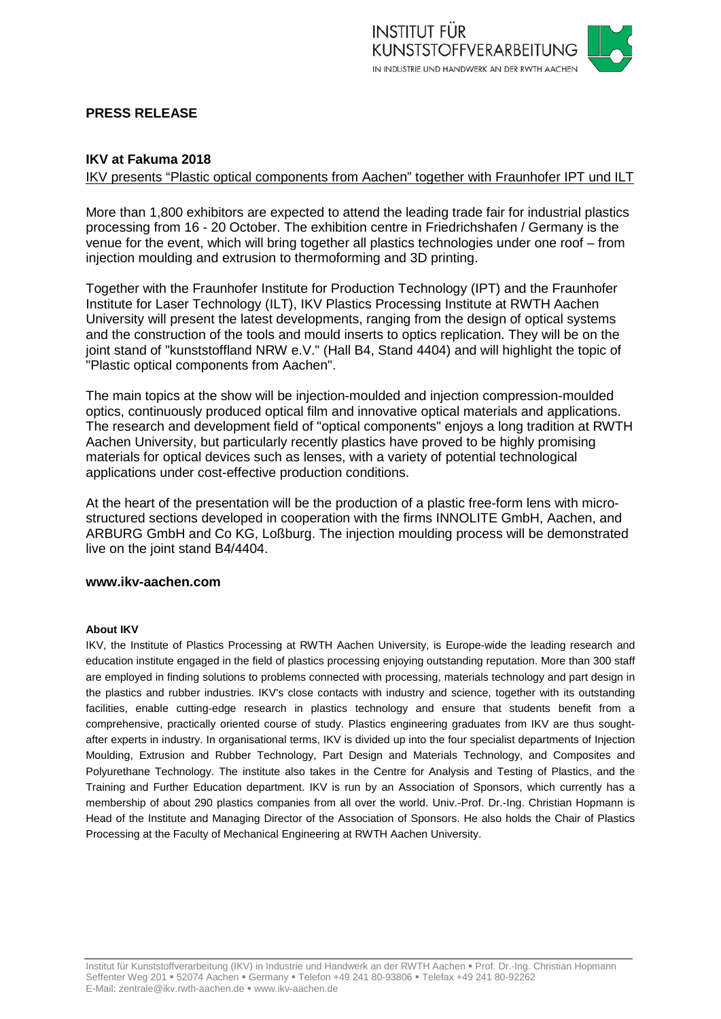

# **PRESS RELEASE**

## **IKV at Fakuma 2018**

IKV presents "Plastic optical components from Aachen" together with Fraunhofer IPT und ILT

More than 1,800 exhibitors are expected to attend the leading trade fair for industrial plastics processing from 16 - 20 October. The exhibition centre in Friedrichshafen / Germany is the venue for the event, which will bring together all plastics technologies under one roof – from injection moulding and extrusion to thermoforming and 3D printing.

Together with the Fraunhofer Institute for Production Technology (IPT) and the Fraunhofer Institute for Laser Technology (ILT), IKV Plastics Processing Institute at RWTH Aachen University will present the latest developments, ranging from the design of optical systems and the construction of the tools and mould inserts to optics replication. They will be on the joint stand of "kunststoffland NRW e.V." (Hall B4, Stand 4404) and will highlight the topic of "Plastic optical components from Aachen".

The main topics at the show will be injection-moulded and injection compression-moulded optics, continuously produced optical film and innovative optical materials and applications. The research and development field of "optical components" enjoys a long tradition at RWTH Aachen University, but particularly recently plastics have proved to be highly promising materials for optical devices such as lenses, with a variety of potential technological applications under cost-effective production conditions.

At the heart of the presentation will be the production of a plastic free-form lens with microstructured sections developed in cooperation with the firms INNOLITE GmbH, Aachen, and ARBURG GmbH and Co KG, Loßburg. The injection moulding process will be demonstrated live on the joint stand B4/4404.

### **www.ikv-aachen.com**

#### **About IKV**

IKV, the Institute of Plastics Processing at RWTH Aachen University, is Europe-wide the leading research and education institute engaged in the field of plastics processing enjoying outstanding reputation. More than 300 staff are employed in finding solutions to problems connected with processing, materials technology and part design in the plastics and rubber industries. IKV's close contacts with industry and science, together with its outstanding facilities, enable cutting-edge research in plastics technology and ensure that students benefit from a comprehensive, practically oriented course of study. Plastics engineering graduates from IKV are thus soughtafter experts in industry. In organisational terms, IKV is divided up into the four specialist departments of Injection Moulding, Extrusion and Rubber Technology, Part Design and Materials Technology, and Composites and Polyurethane Technology. The institute also takes in the Centre for Analysis and Testing of Plastics, and the Training and Further Education department. IKV is run by an Association of Sponsors, which currently has a membership of about 290 plastics companies from all over the world. Univ.-Prof. Dr.-Ing. Christian Hopmann is Head of the Institute and Managing Director of the Association of Sponsors. He also holds the Chair of Plastics Processing at the Faculty of Mechanical Engineering at RWTH Aachen University.